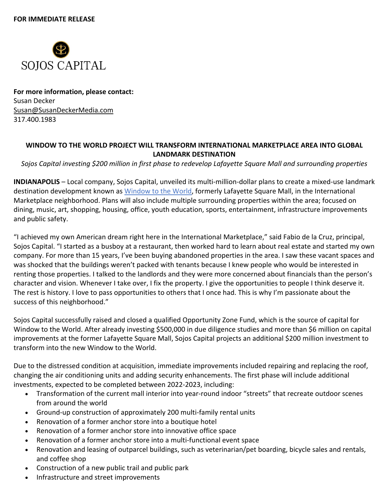

**For more information, please contact:** Susan Decker Susan@SusanDeckerMedia.com 317.400.1983

## **WINDOW TO THE WORLD PROJECT WILL TRANSFORM INTERNATIONAL MARKETPLACE AREA INTO GLOBAL LANDMARK DESTINATION**

*Sojos Capital investing \$200 million in first phase to redevelop Lafayette Square Mall and surrounding properties* 

**INDIANAPOLIS** – Local company, Sojos Capital, unveiled its multi-million-dollar plans to create a mixed-use landmark destination development known as Window to the World, formerly Lafayette Square Mall, in the International Marketplace neighborhood. Plans will also include multiple surrounding properties within the area; focused on dining, music, art, shopping, housing, office, youth education, sports, entertainment, infrastructure improvements and public safety.

"I achieved my own American dream right here in the International Marketplace," said Fabio de la Cruz, principal, Sojos Capital. "I started as a busboy at a restaurant, then worked hard to learn about real estate and started my own company. For more than 15 years, I've been buying abandoned properties in the area. I saw these vacant spaces and was shocked that the buildings weren't packed with tenants because I knew people who would be interested in renting those properties. I talked to the landlords and they were more concerned about financials than the person's character and vision. Whenever I take over, I fix the property. I give the opportunities to people I think deserve it. The rest is history. I love to pass opportunities to others that I once had. This is why I'm passionate about the success of this neighborhood."

Sojos Capital successfully raised and closed a qualified Opportunity Zone Fund, which is the source of capital for Window to the World. After already investing \$500,000 in due diligence studies and more than \$6 million on capital improvements at the former Lafayette Square Mall, Sojos Capital projects an additional \$200 million investment to transform into the new Window to the World.

Due to the distressed condition at acquisition, immediate improvements included repairing and replacing the roof, changing the air conditioning units and adding security enhancements. The first phase will include additional investments, expected to be completed between 2022-2023, including:

- Transformation of the current mall interior into year-round indoor "streets" that recreate outdoor scenes from around the world
- Ground-up construction of approximately 200 multi-family rental units
- Renovation of a former anchor store into a boutique hotel
- Renovation of a former anchor store into innovative office space
- Renovation of a former anchor store into a multi-functional event space
- Renovation and leasing of outparcel buildings, such as veterinarian/pet boarding, bicycle sales and rentals, and coffee shop
- Construction of a new public trail and public park
- Infrastructure and street improvements